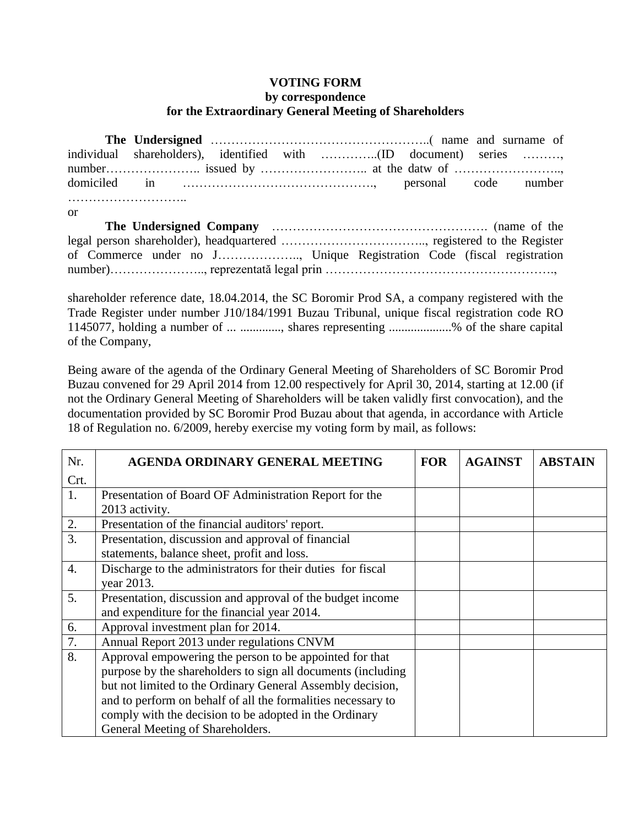## **VOTING FORM**

## **by correspondence for the Extraordinary General Meeting of Shareholders**

| or |  |  |  |  |
|----|--|--|--|--|
|    |  |  |  |  |
|    |  |  |  |  |

shareholder reference date, 18.04.2014, the SC Boromir Prod SA, a company registered with the Trade Register under number J10/184/1991 Buzau Tribunal, unique fiscal registration code RO 1145077, holding a number of ... ............., shares representing ....................% of the share capital of the Company,

Being aware of the agenda of the Ordinary General Meeting of Shareholders of SC Boromir Prod Buzau convened for 29 April 2014 from 12.00 respectively for April 30, 2014, starting at 12.00 (if not the Ordinary General Meeting of Shareholders will be taken validly first convocation), and the documentation provided by SC Boromir Prod Buzau about that agenda, in accordance with Article 18 of Regulation no. 6/2009, hereby exercise my voting form by mail, as follows:

| Nr.              | AGENDA ORDINARY GENERAL MEETING                              |  | <b>AGAINST</b> | <b>ABSTAIN</b> |
|------------------|--------------------------------------------------------------|--|----------------|----------------|
| Crt.             |                                                              |  |                |                |
| 1.               | Presentation of Board OF Administration Report for the       |  |                |                |
|                  | 2013 activity.                                               |  |                |                |
| 2.               | Presentation of the financial auditors' report.              |  |                |                |
| $\overline{3}$ . | Presentation, discussion and approval of financial           |  |                |                |
|                  | statements, balance sheet, profit and loss.                  |  |                |                |
| 4.               | Discharge to the administrators for their duties for fiscal  |  |                |                |
|                  | year 2013.                                                   |  |                |                |
| 5.               | Presentation, discussion and approval of the budget income   |  |                |                |
|                  | and expenditure for the financial year 2014.                 |  |                |                |
| 6.               | Approval investment plan for 2014.                           |  |                |                |
| 7.               | Annual Report 2013 under regulations CNVM                    |  |                |                |
| 8.               | Approval empowering the person to be appointed for that      |  |                |                |
|                  | purpose by the shareholders to sign all documents (including |  |                |                |
|                  | but not limited to the Ordinary General Assembly decision,   |  |                |                |
|                  | and to perform on behalf of all the formalities necessary to |  |                |                |
|                  | comply with the decision to be adopted in the Ordinary       |  |                |                |
|                  | General Meeting of Shareholders.                             |  |                |                |